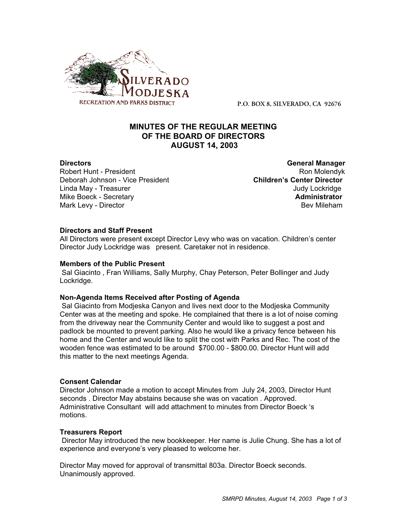

**P.O. BOX 8, SILVERADO, CA 92676**

# **MINUTES OF THE REGULAR MEETING OF THE BOARD OF DIRECTORS AUGUST 14, 2003**

Robert Hunt - President Ron Molendyk Ron Molendyk Deborah Johnson - Vice President **Children's Center Director** Linda May - Treasurer Judy Lockridge Mike Boeck - Secretary **Administrator** Mark Levy - Director **Bev Mileham Mark Levy - Director** Bev Mileham

**Directors General Manager**

# **Directors and Staff Present**

All Directors were present except Director Levy who was on vacation. Children's center Director Judy Lockridge was present. Caretaker not in residence.

#### **Members of the Public Present**

 Sal Giacinto , Fran Williams, Sally Murphy, Chay Peterson, Peter Bollinger and Judy Lockridge.

#### **Non-Agenda Items Received after Posting of Agenda**

 Sal Giacinto from Modjeska Canyon and lives next door to the Modjeska Community Center was at the meeting and spoke. He complained that there is a lot of noise coming from the driveway near the Community Center and would like to suggest a post and padlock be mounted to prevent parking. Also he would like a privacy fence between his home and the Center and would like to split the cost with Parks and Rec. The cost of the wooden fence was estimated to be around \$700.00 - \$800.00. Director Hunt will add this matter to the next meetings Agenda.

#### **Consent Calendar**

Director Johnson made a motion to accept Minutes from July 24, 2003, Director Hunt seconds . Director May abstains because she was on vacation . Approved. Administrative Consultant will add attachment to minutes from Director Boeck 's motions.

#### **Treasurers Report**

 Director May introduced the new bookkeeper. Her name is Julie Chung. She has a lot of experience and everyone's very pleased to welcome her.

Director May moved for approval of transmittal 803a. Director Boeck seconds. Unanimously approved.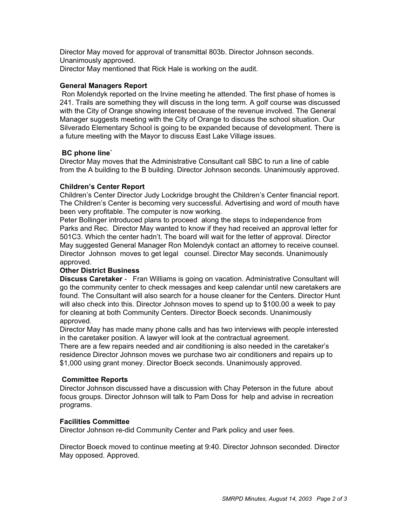Director May moved for approval of transmittal 803b. Director Johnson seconds. Unanimously approved. Director May mentioned that Rick Hale is working on the audit.

#### **General Managers Report**

 Ron Molendyk reported on the Irvine meeting he attended. The first phase of homes is 241. Trails are something they will discuss in the long term. A golf course was discussed with the City of Orange showing interest because of the revenue involved. The General Manager suggests meeting with the City of Orange to discuss the school situation. Our Silverado Elementary School is going to be expanded because of development. There is a future meeting with the Mayor to discuss East Lake Village issues.

# **BC phone line`**

Director May moves that the Administrative Consultant call SBC to run a line of cable from the A building to the B building. Director Johnson seconds. Unanimously approved.

# **Children's Center Report**

Children's Center Director Judy Lockridge brought the Children's Center financial report. The Children's Center is becoming very successful. Advertising and word of mouth have been very profitable. The computer is now working.

Peter Bollinger introduced plans to proceed along the steps to independence from Parks and Rec. Director May wanted to know if they had received an approval letter for 501C3. Which the center hadn't. The board will wait for the letter of approval. Director May suggested General Manager Ron Molendyk contact an attorney to receive counsel. Director Johnson moves to get legal counsel. Director May seconds. Unanimously approved.

# **Other District Business**

**Discuss Caretaker** - Fran Williams is going on vacation. Administrative Consultant will go the community center to check messages and keep calendar until new caretakers are found. The Consultant will also search for a house cleaner for the Centers. Director Hunt will also check into this. Director Johnson moves to spend up to \$100.00 a week to pay for cleaning at both Community Centers. Director Boeck seconds. Unanimously approved.

Director May has made many phone calls and has two interviews with people interested in the caretaker position. A lawyer will look at the contractual agreement.

There are a few repairs needed and air conditioning is also needed in the caretaker's residence Director Johnson moves we purchase two air conditioners and repairs up to \$1,000 using grant money. Director Boeck seconds. Unanimously approved.

#### **Committee Reports**

Director Johnson discussed have a discussion with Chay Peterson in the future about focus groups. Director Johnson will talk to Pam Doss for help and advise in recreation programs.

# **Facilities Committee**

Director Johnson re-did Community Center and Park policy and user fees.

Director Boeck moved to continue meeting at 9:40. Director Johnson seconded. Director May opposed. Approved.